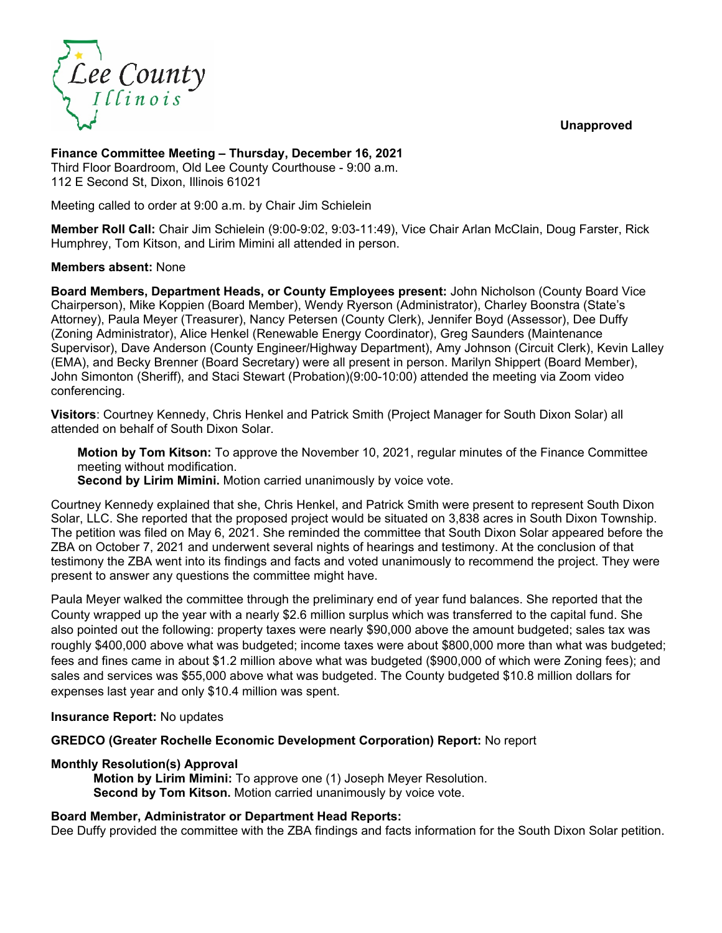**Unapproved**



# **Finance Committee Meeting – Thursday, December 16, 2021**

Third Floor Boardroom, Old Lee County Courthouse - 9:00 a.m. 112 E Second St, Dixon, Illinois 61021

Meeting called to order at 9:00 a.m. by Chair Jim Schielein

**Member Roll Call:** Chair Jim Schielein (9:00-9:02, 9:03-11:49), Vice Chair Arlan McClain, Doug Farster, Rick Humphrey, Tom Kitson, and Lirim Mimini all attended in person.

### **Members absent:** None

**Board Members, Department Heads, or County Employees present:** John Nicholson (County Board Vice Chairperson), Mike Koppien (Board Member), Wendy Ryerson (Administrator), Charley Boonstra (State's Attorney), Paula Meyer (Treasurer), Nancy Petersen (County Clerk), Jennifer Boyd (Assessor), Dee Duffy (Zoning Administrator), Alice Henkel (Renewable Energy Coordinator), Greg Saunders (Maintenance Supervisor), Dave Anderson (County Engineer/Highway Department), Amy Johnson (Circuit Clerk), Kevin Lalley (EMA), and Becky Brenner (Board Secretary) were all present in person. Marilyn Shippert (Board Member), John Simonton (Sheriff), and Staci Stewart (Probation)(9:00-10:00) attended the meeting via Zoom video conferencing.

**Visitors**: Courtney Kennedy, Chris Henkel and Patrick Smith (Project Manager for South Dixon Solar) all attended on behalf of South Dixon Solar.

**Motion by Tom Kitson:** To approve the November 10, 2021, regular minutes of the Finance Committee meeting without modification.

**Second by Lirim Mimini.** Motion carried unanimously by voice vote.

Courtney Kennedy explained that she, Chris Henkel, and Patrick Smith were present to represent South Dixon Solar, LLC. She reported that the proposed project would be situated on 3,838 acres in South Dixon Township. The petition was filed on May 6, 2021. She reminded the committee that South Dixon Solar appeared before the ZBA on October 7, 2021 and underwent several nights of hearings and testimony. At the conclusion of that testimony the ZBA went into its findings and facts and voted unanimously to recommend the project. They were present to answer any questions the committee might have.

Paula Meyer walked the committee through the preliminary end of year fund balances. She reported that the County wrapped up the year with a nearly \$2.6 million surplus which was transferred to the capital fund. She also pointed out the following: property taxes were nearly \$90,000 above the amount budgeted; sales tax was roughly \$400,000 above what was budgeted; income taxes were about \$800,000 more than what was budgeted; fees and fines came in about \$1.2 million above what was budgeted (\$900,000 of which were Zoning fees); and sales and services was \$55,000 above what was budgeted. The County budgeted \$10.8 million dollars for expenses last year and only \$10.4 million was spent.

**Insurance Report:** No updates

**GREDCO (Greater Rochelle Economic Development Corporation) Report:** No report

### **Monthly Resolution(s) Approval**

**Motion by Lirim Mimini:** To approve one (1) Joseph Meyer Resolution. **Second by Tom Kitson.** Motion carried unanimously by voice vote.

### **Board Member, Administrator or Department Head Reports:**

Dee Duffy provided the committee with the ZBA findings and facts information for the South Dixon Solar petition.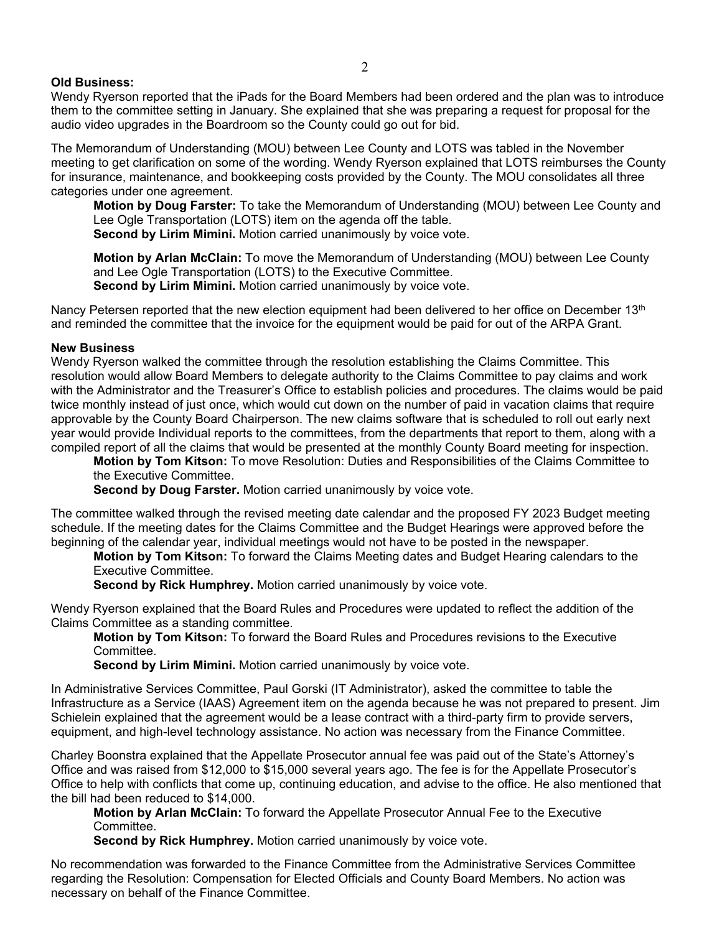## **Old Business:**

Wendy Ryerson reported that the iPads for the Board Members had been ordered and the plan was to introduce them to the committee setting in January. She explained that she was preparing a request for proposal for the audio video upgrades in the Boardroom so the County could go out for bid.

The Memorandum of Understanding (MOU) between Lee County and LOTS was tabled in the November meeting to get clarification on some of the wording. Wendy Ryerson explained that LOTS reimburses the County for insurance, maintenance, and bookkeeping costs provided by the County. The MOU consolidates all three categories under one agreement.

**Motion by Doug Farster:** To take the Memorandum of Understanding (MOU) between Lee County and Lee Ogle Transportation (LOTS) item on the agenda off the table. **Second by Lirim Mimini.** Motion carried unanimously by voice vote.

**Motion by Arlan McClain:** To move the Memorandum of Understanding (MOU) between Lee County and Lee Ogle Transportation (LOTS) to the Executive Committee. **Second by Lirim Mimini.** Motion carried unanimously by voice vote.

Nancy Petersen reported that the new election equipment had been delivered to her office on December 13<sup>th</sup> and reminded the committee that the invoice for the equipment would be paid for out of the ARPA Grant.

### **New Business**

Wendy Ryerson walked the committee through the resolution establishing the Claims Committee. This resolution would allow Board Members to delegate authority to the Claims Committee to pay claims and work with the Administrator and the Treasurer's Office to establish policies and procedures. The claims would be paid twice monthly instead of just once, which would cut down on the number of paid in vacation claims that require approvable by the County Board Chairperson. The new claims software that is scheduled to roll out early next year would provide Individual reports to the committees, from the departments that report to them, along with a compiled report of all the claims that would be presented at the monthly County Board meeting for inspection.

**Motion by Tom Kitson:** To move Resolution: Duties and Responsibilities of the Claims Committee to the Executive Committee.

**Second by Doug Farster.** Motion carried unanimously by voice vote.

The committee walked through the revised meeting date calendar and the proposed FY 2023 Budget meeting schedule. If the meeting dates for the Claims Committee and the Budget Hearings were approved before the beginning of the calendar year, individual meetings would not have to be posted in the newspaper.

**Motion by Tom Kitson:** To forward the Claims Meeting dates and Budget Hearing calendars to the Executive Committee.

**Second by Rick Humphrey.** Motion carried unanimously by voice vote.

Wendy Ryerson explained that the Board Rules and Procedures were updated to reflect the addition of the Claims Committee as a standing committee.

**Motion by Tom Kitson:** To forward the Board Rules and Procedures revisions to the Executive Committee.

**Second by Lirim Mimini.** Motion carried unanimously by voice vote.

In Administrative Services Committee, Paul Gorski (IT Administrator), asked the committee to table the Infrastructure as a Service (IAAS) Agreement item on the agenda because he was not prepared to present. Jim Schielein explained that the agreement would be a lease contract with a third-party firm to provide servers, equipment, and high-level technology assistance. No action was necessary from the Finance Committee.

Charley Boonstra explained that the Appellate Prosecutor annual fee was paid out of the State's Attorney's Office and was raised from \$12,000 to \$15,000 several years ago. The fee is for the Appellate Prosecutor's Office to help with conflicts that come up, continuing education, and advise to the office. He also mentioned that the bill had been reduced to \$14,000.

**Motion by Arlan McClain:** To forward the Appellate Prosecutor Annual Fee to the Executive Committee.

**Second by Rick Humphrey.** Motion carried unanimously by voice vote.

No recommendation was forwarded to the Finance Committee from the Administrative Services Committee regarding the Resolution: Compensation for Elected Officials and County Board Members. No action was necessary on behalf of the Finance Committee.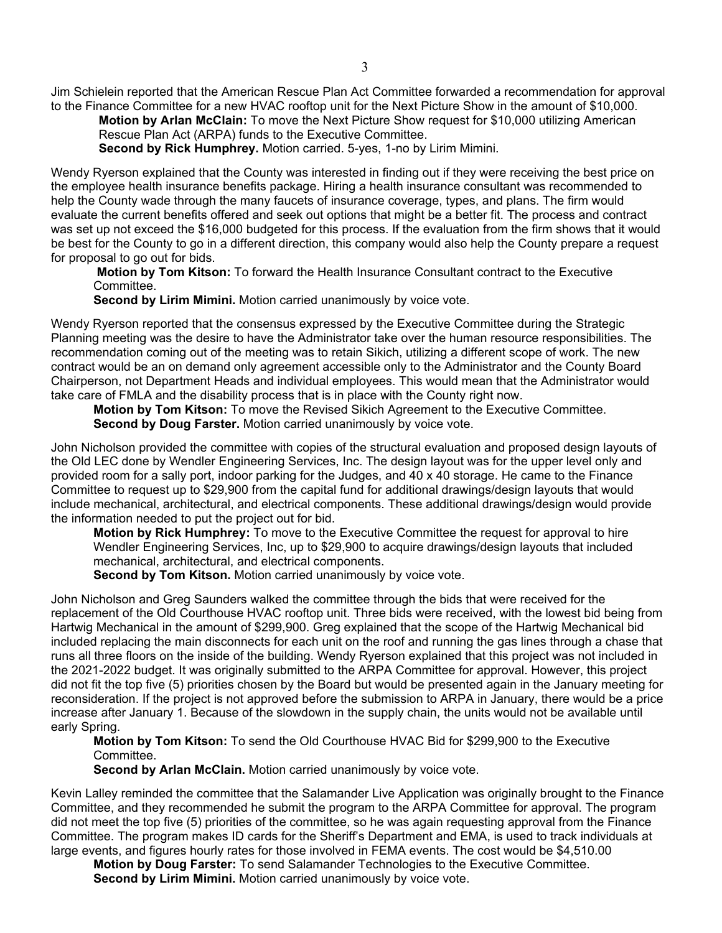Jim Schielein reported that the American Rescue Plan Act Committee forwarded a recommendation for approval to the Finance Committee for a new HVAC rooftop unit for the Next Picture Show in the amount of \$10,000.

**Motion by Arlan McClain:** To move the Next Picture Show request for \$10,000 utilizing American Rescue Plan Act (ARPA) funds to the Executive Committee.

**Second by Rick Humphrey.** Motion carried. 5-yes, 1-no by Lirim Mimini.

Wendy Ryerson explained that the County was interested in finding out if they were receiving the best price on the employee health insurance benefits package. Hiring a health insurance consultant was recommended to help the County wade through the many faucets of insurance coverage, types, and plans. The firm would evaluate the current benefits offered and seek out options that might be a better fit. The process and contract was set up not exceed the \$16,000 budgeted for this process. If the evaluation from the firm shows that it would be best for the County to go in a different direction, this company would also help the County prepare a request for proposal to go out for bids.

**Motion by Tom Kitson:** To forward the Health Insurance Consultant contract to the Executive Committee.

**Second by Lirim Mimini.** Motion carried unanimously by voice vote.

Wendy Ryerson reported that the consensus expressed by the Executive Committee during the Strategic Planning meeting was the desire to have the Administrator take over the human resource responsibilities. The recommendation coming out of the meeting was to retain Sikich, utilizing a different scope of work. The new contract would be an on demand only agreement accessible only to the Administrator and the County Board Chairperson, not Department Heads and individual employees. This would mean that the Administrator would take care of FMLA and the disability process that is in place with the County right now.

**Motion by Tom Kitson:** To move the Revised Sikich Agreement to the Executive Committee. **Second by Doug Farster.** Motion carried unanimously by voice vote.

John Nicholson provided the committee with copies of the structural evaluation and proposed design layouts of the Old LEC done by Wendler Engineering Services, Inc. The design layout was for the upper level only and provided room for a sally port, indoor parking for the Judges, and 40 x 40 storage. He came to the Finance Committee to request up to \$29,900 from the capital fund for additional drawings/design layouts that would include mechanical, architectural, and electrical components. These additional drawings/design would provide the information needed to put the project out for bid.

**Motion by Rick Humphrey:** To move to the Executive Committee the request for approval to hire Wendler Engineering Services, Inc, up to \$29,900 to acquire drawings/design layouts that included mechanical, architectural, and electrical components.

**Second by Tom Kitson.** Motion carried unanimously by voice vote.

John Nicholson and Greg Saunders walked the committee through the bids that were received for the replacement of the Old Courthouse HVAC rooftop unit. Three bids were received, with the lowest bid being from Hartwig Mechanical in the amount of \$299,900. Greg explained that the scope of the Hartwig Mechanical bid included replacing the main disconnects for each unit on the roof and running the gas lines through a chase that runs all three floors on the inside of the building. Wendy Ryerson explained that this project was not included in the 2021-2022 budget. It was originally submitted to the ARPA Committee for approval. However, this project did not fit the top five (5) priorities chosen by the Board but would be presented again in the January meeting for reconsideration. If the project is not approved before the submission to ARPA in January, there would be a price increase after January 1. Because of the slowdown in the supply chain, the units would not be available until early Spring.

**Motion by Tom Kitson:** To send the Old Courthouse HVAC Bid for \$299,900 to the Executive Committee.

**Second by Arlan McClain.** Motion carried unanimously by voice vote.

Kevin Lalley reminded the committee that the Salamander Live Application was originally brought to the Finance Committee, and they recommended he submit the program to the ARPA Committee for approval. The program did not meet the top five (5) priorities of the committee, so he was again requesting approval from the Finance Committee. The program makes ID cards for the Sheriff's Department and EMA, is used to track individuals at large events, and figures hourly rates for those involved in FEMA events. The cost would be \$4,510.00

**Motion by Doug Farster:** To send Salamander Technologies to the Executive Committee. **Second by Lirim Mimini.** Motion carried unanimously by voice vote.